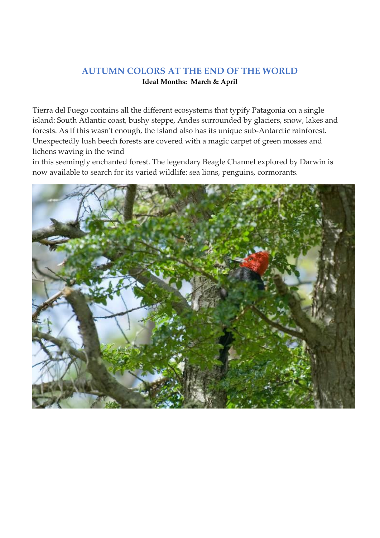## **AUTUMN COLORS AT THE END OF THE WORLD Ideal Months: March & April**

Tierra del Fuego contains all the different ecosystems that typify Patagonia on a single island: South Atlantic coast, bushy steppe, Andes surrounded by glaciers, snow, lakes and forests. As if this wasn't enough, the island also has its unique sub-Antarctic rainforest. Unexpectedly lush beech forests are covered with a magic carpet of green mosses and lichens waving in the wind

in this seemingly enchanted forest. The legendary Beagle Channel explored by Darwin is now available to search for its varied wildlife: sea lions, penguins, cormorants.

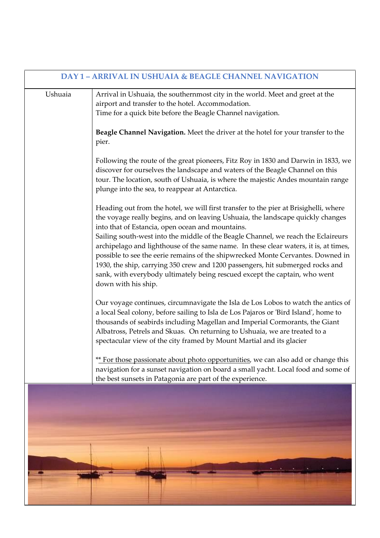| <b>DAY 1 - ARRIVAL IN USHUAIA &amp; BEAGLE CHANNEL NAVIGATION</b> |                                                                                                                                                                                                                                                                                                                                                                                                                                                                                                                                                                                                                                                                                    |  |
|-------------------------------------------------------------------|------------------------------------------------------------------------------------------------------------------------------------------------------------------------------------------------------------------------------------------------------------------------------------------------------------------------------------------------------------------------------------------------------------------------------------------------------------------------------------------------------------------------------------------------------------------------------------------------------------------------------------------------------------------------------------|--|
| Ushuaia                                                           | Arrival in Ushuaia, the southernmost city in the world. Meet and greet at the<br>airport and transfer to the hotel. Accommodation.<br>Time for a quick bite before the Beagle Channel navigation.                                                                                                                                                                                                                                                                                                                                                                                                                                                                                  |  |
|                                                                   | Beagle Channel Navigation. Meet the driver at the hotel for your transfer to the<br>pier.                                                                                                                                                                                                                                                                                                                                                                                                                                                                                                                                                                                          |  |
|                                                                   | Following the route of the great pioneers, Fitz Roy in 1830 and Darwin in 1833, we<br>discover for ourselves the landscape and waters of the Beagle Channel on this<br>tour. The location, south of Ushuaia, is where the majestic Andes mountain range<br>plunge into the sea, to reappear at Antarctica.                                                                                                                                                                                                                                                                                                                                                                         |  |
|                                                                   | Heading out from the hotel, we will first transfer to the pier at Brisighelli, where<br>the voyage really begins, and on leaving Ushuaia, the landscape quickly changes<br>into that of Estancia, open ocean and mountains.<br>Sailing south-west into the middle of the Beagle Channel, we reach the Eclaireurs<br>archipelago and lighthouse of the same name. In these clear waters, it is, at times,<br>possible to see the eerie remains of the shipwrecked Monte Cervantes. Downed in<br>1930, the ship, carrying 350 crew and 1200 passengers, hit submerged rocks and<br>sank, with everybody ultimately being rescued except the captain, who went<br>down with his ship. |  |
|                                                                   | Our voyage continues, circumnavigate the Isla de Los Lobos to watch the antics of<br>a local Seal colony, before sailing to Isla de Los Pajaros or 'Bird Island', home to<br>thousands of seabirds including Magellan and Imperial Cormorants, the Giant<br>Albatross, Petrels and Skuas. On returning to Ushuaia, we are treated to a<br>spectacular view of the city framed by Mount Martial and its glacier                                                                                                                                                                                                                                                                     |  |
|                                                                   | ** For those passionate about photo opportunities, we can also add or change this<br>navigation for a sunset navigation on board a small yacht. Local food and some of<br>the best sunsets in Patagonia are part of the experience.                                                                                                                                                                                                                                                                                                                                                                                                                                                |  |
|                                                                   |                                                                                                                                                                                                                                                                                                                                                                                                                                                                                                                                                                                                                                                                                    |  |
|                                                                   |                                                                                                                                                                                                                                                                                                                                                                                                                                                                                                                                                                                                                                                                                    |  |
|                                                                   |                                                                                                                                                                                                                                                                                                                                                                                                                                                                                                                                                                                                                                                                                    |  |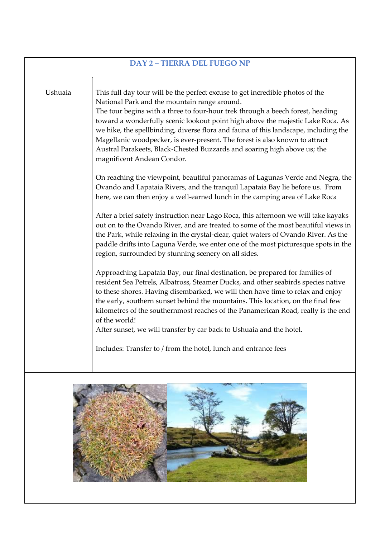| <b>DAY 2 - TIERRA DEL FUEGO NP</b> |                                                                                                                                                                                                                                                                                                                                                                                                                                                                                                                                                                                                                                                                                                                                                                                                                                                                                                                                                                                                                                                                                                                                                                                                                                                                                                                                                                                                                                                                                                                                                                                                                                                                                                                                                                                                                                                     |  |
|------------------------------------|-----------------------------------------------------------------------------------------------------------------------------------------------------------------------------------------------------------------------------------------------------------------------------------------------------------------------------------------------------------------------------------------------------------------------------------------------------------------------------------------------------------------------------------------------------------------------------------------------------------------------------------------------------------------------------------------------------------------------------------------------------------------------------------------------------------------------------------------------------------------------------------------------------------------------------------------------------------------------------------------------------------------------------------------------------------------------------------------------------------------------------------------------------------------------------------------------------------------------------------------------------------------------------------------------------------------------------------------------------------------------------------------------------------------------------------------------------------------------------------------------------------------------------------------------------------------------------------------------------------------------------------------------------------------------------------------------------------------------------------------------------------------------------------------------------------------------------------------------------|--|
| Ushuaia                            | This full day tour will be the perfect excuse to get incredible photos of the<br>National Park and the mountain range around.<br>The tour begins with a three to four-hour trek through a beech forest, heading<br>toward a wonderfully scenic lookout point high above the majestic Lake Roca. As<br>we hike, the spellbinding, diverse flora and fauna of this landscape, including the<br>Magellanic woodpecker, is ever-present. The forest is also known to attract<br>Austral Parakeets, Black-Chested Buzzards and soaring high above us; the<br>magnificent Andean Condor.<br>On reaching the viewpoint, beautiful panoramas of Lagunas Verde and Negra, the<br>Ovando and Lapataia Rivers, and the tranquil Lapataia Bay lie before us. From<br>here, we can then enjoy a well-earned lunch in the camping area of Lake Roca<br>After a brief safety instruction near Lago Roca, this afternoon we will take kayaks<br>out on to the Ovando River, and are treated to some of the most beautiful views in<br>the Park, while relaxing in the crystal-clear, quiet waters of Ovando River. As the<br>paddle drifts into Laguna Verde, we enter one of the most picturesque spots in the<br>region, surrounded by stunning scenery on all sides.<br>Approaching Lapataia Bay, our final destination, be prepared for families of<br>resident Sea Petrels, Albatross, Steamer Ducks, and other seabirds species native<br>to these shores. Having disembarked, we will then have time to relax and enjoy<br>the early, southern sunset behind the mountains. This location, on the final few<br>kilometres of the southernmost reaches of the Panamerican Road, really is the end<br>of the world!<br>After sunset, we will transfer by car back to Ushuaia and the hotel.<br>Includes: Transfer to / from the hotel, lunch and entrance fees |  |
|                                    |                                                                                                                                                                                                                                                                                                                                                                                                                                                                                                                                                                                                                                                                                                                                                                                                                                                                                                                                                                                                                                                                                                                                                                                                                                                                                                                                                                                                                                                                                                                                                                                                                                                                                                                                                                                                                                                     |  |

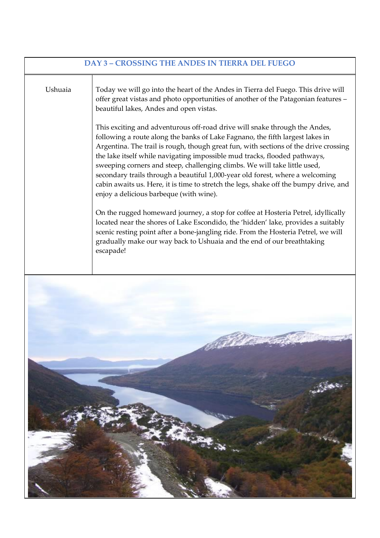| DAY 3 - CROSSING THE ANDES IN TIERRA DEL FUEGO |                                                                                                                                                                                                                                                                                                                                                                                                                                                                                                                                                                                                                                                                                                                                                                                                                                                                                                                                                                                                                                                                                                                                                                                                                 |  |
|------------------------------------------------|-----------------------------------------------------------------------------------------------------------------------------------------------------------------------------------------------------------------------------------------------------------------------------------------------------------------------------------------------------------------------------------------------------------------------------------------------------------------------------------------------------------------------------------------------------------------------------------------------------------------------------------------------------------------------------------------------------------------------------------------------------------------------------------------------------------------------------------------------------------------------------------------------------------------------------------------------------------------------------------------------------------------------------------------------------------------------------------------------------------------------------------------------------------------------------------------------------------------|--|
| Ushuaia                                        | Today we will go into the heart of the Andes in Tierra del Fuego. This drive will<br>offer great vistas and photo opportunities of another of the Patagonian features -<br>beautiful lakes, Andes and open vistas.<br>This exciting and adventurous off-road drive will snake through the Andes,<br>following a route along the banks of Lake Fagnano, the fifth largest lakes in<br>Argentina. The trail is rough, though great fun, with sections of the drive crossing<br>the lake itself while navigating impossible mud tracks, flooded pathways,<br>sweeping corners and steep, challenging climbs. We will take little used,<br>secondary trails through a beautiful 1,000-year old forest, where a welcoming<br>cabin awaits us. Here, it is time to stretch the legs, shake off the bumpy drive, and<br>enjoy a delicious barbeque (with wine).<br>On the rugged homeward journey, a stop for coffee at Hosteria Petrel, idyllically<br>located near the shores of Lake Escondido, the 'hidden' lake, provides a suitably<br>scenic resting point after a bone-jangling ride. From the Hosteria Petrel, we will<br>gradually make our way back to Ushuaia and the end of our breathtaking<br>escapade! |  |
|                                                |                                                                                                                                                                                                                                                                                                                                                                                                                                                                                                                                                                                                                                                                                                                                                                                                                                                                                                                                                                                                                                                                                                                                                                                                                 |  |